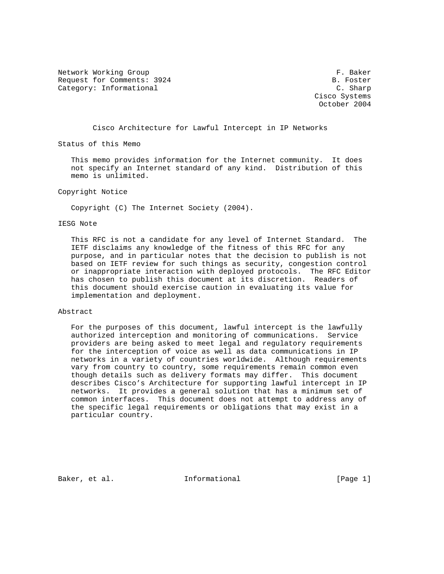Network Working Group **F. Baker** Request for Comments: 3924 B. Foster Category: Informational C. Sharp

 Cisco Systems October 2004

Cisco Architecture for Lawful Intercept in IP Networks

Status of this Memo

 This memo provides information for the Internet community. It does not specify an Internet standard of any kind. Distribution of this memo is unlimited.

Copyright Notice

Copyright (C) The Internet Society (2004).

## IESG Note

 This RFC is not a candidate for any level of Internet Standard. The IETF disclaims any knowledge of the fitness of this RFC for any purpose, and in particular notes that the decision to publish is not based on IETF review for such things as security, congestion control or inappropriate interaction with deployed protocols. The RFC Editor has chosen to publish this document at its discretion. Readers of this document should exercise caution in evaluating its value for implementation and deployment.

#### Abstract

 For the purposes of this document, lawful intercept is the lawfully authorized interception and monitoring of communications. Service providers are being asked to meet legal and regulatory requirements for the interception of voice as well as data communications in IP networks in a variety of countries worldwide. Although requirements vary from country to country, some requirements remain common even though details such as delivery formats may differ. This document describes Cisco's Architecture for supporting lawful intercept in IP networks. It provides a general solution that has a minimum set of common interfaces. This document does not attempt to address any of the specific legal requirements or obligations that may exist in a particular country.

Baker, et al.  $I_n$  Informational [Page 1]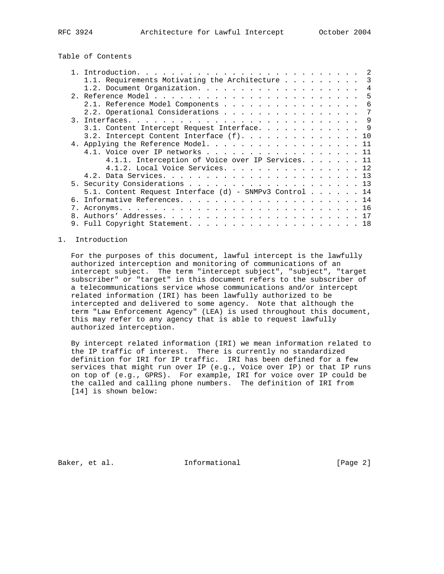# Table of Contents

|  |                                                        | 2 |
|--|--------------------------------------------------------|---|
|  | 1.1. Requirements Motivating the Architecture 3        |   |
|  |                                                        | 4 |
|  |                                                        |   |
|  | 2.1. Reference Model Components<br>- 6                 |   |
|  | 2.2. Operational Considerations<br>7                   |   |
|  |                                                        |   |
|  | 3.1. Content Intercept Request Interface. 9            |   |
|  | 3.2. Intercept Content Interface $(f)$ 10              |   |
|  | 4. Applying the Reference Model. 11                    |   |
|  | 4.1. Voice over IP networks 11                         |   |
|  | 4.1.1. Interception of Voice over IP Services. 11      |   |
|  | 4.1.2. Local Voice Services. 12                        |   |
|  |                                                        |   |
|  |                                                        |   |
|  | 5.1. Content Request Interface (d) - SNMPv3 Control 14 |   |
|  |                                                        |   |
|  |                                                        |   |
|  |                                                        |   |
|  |                                                        |   |

## 1. Introduction

 For the purposes of this document, lawful intercept is the lawfully authorized interception and monitoring of communications of an intercept subject. The term "intercept subject", "subject", "target subscriber" or "target" in this document refers to the subscriber of a telecommunications service whose communications and/or intercept related information (IRI) has been lawfully authorized to be intercepted and delivered to some agency. Note that although the term "Law Enforcement Agency" (LEA) is used throughout this document, this may refer to any agency that is able to request lawfully authorized interception.

 By intercept related information (IRI) we mean information related to the IP traffic of interest. There is currently no standardized definition for IRI for IP traffic. IRI has been defined for a few services that might run over IP (e.g., Voice over IP) or that IP runs on top of (e.g., GPRS). For example, IRI for voice over IP could be the called and calling phone numbers. The definition of IRI from [14] is shown below:

Baker, et al. 1nformational 1999 [Page 2]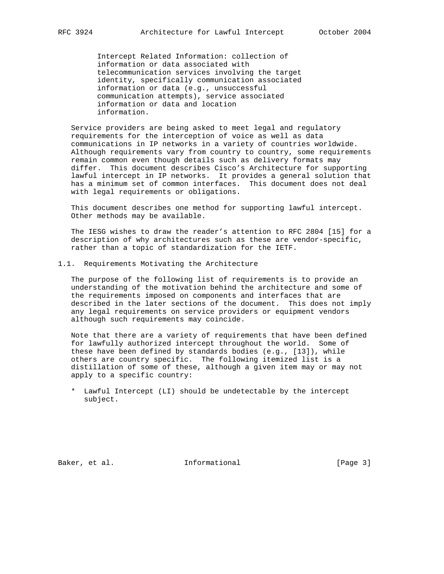Intercept Related Information: collection of information or data associated with telecommunication services involving the target identity, specifically communication associated information or data (e.g., unsuccessful communication attempts), service associated information or data and location information.

 Service providers are being asked to meet legal and regulatory requirements for the interception of voice as well as data communications in IP networks in a variety of countries worldwide. Although requirements vary from country to country, some requirements remain common even though details such as delivery formats may differ. This document describes Cisco's Architecture for supporting lawful intercept in IP networks. It provides a general solution that has a minimum set of common interfaces. This document does not deal with legal requirements or obligations.

 This document describes one method for supporting lawful intercept. Other methods may be available.

 The IESG wishes to draw the reader's attention to RFC 2804 [15] for a description of why architectures such as these are vendor-specific, rather than a topic of standardization for the IETF.

## 1.1. Requirements Motivating the Architecture

 The purpose of the following list of requirements is to provide an understanding of the motivation behind the architecture and some of the requirements imposed on components and interfaces that are described in the later sections of the document. This does not imply any legal requirements on service providers or equipment vendors although such requirements may coincide.

 Note that there are a variety of requirements that have been defined for lawfully authorized intercept throughout the world. Some of these have been defined by standards bodies (e.g., [13]), while others are country specific. The following itemized list is a distillation of some of these, although a given item may or may not apply to a specific country:

 \* Lawful Intercept (LI) should be undetectable by the intercept subject.

Baker, et al. 1nformational 1998 [Page 3]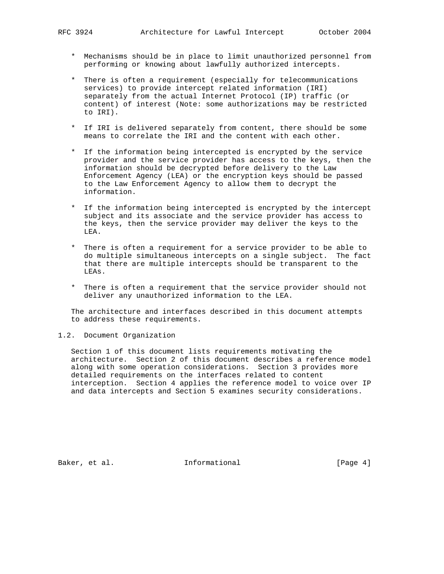- \* Mechanisms should be in place to limit unauthorized personnel from performing or knowing about lawfully authorized intercepts.
- \* There is often a requirement (especially for telecommunications services) to provide intercept related information (IRI) separately from the actual Internet Protocol (IP) traffic (or content) of interest (Note: some authorizations may be restricted to IRI).
- \* If IRI is delivered separately from content, there should be some means to correlate the IRI and the content with each other.
- \* If the information being intercepted is encrypted by the service provider and the service provider has access to the keys, then the information should be decrypted before delivery to the Law Enforcement Agency (LEA) or the encryption keys should be passed to the Law Enforcement Agency to allow them to decrypt the information.
- \* If the information being intercepted is encrypted by the intercept subject and its associate and the service provider has access to the keys, then the service provider may deliver the keys to the LEA.
- \* There is often a requirement for a service provider to be able to do multiple simultaneous intercepts on a single subject. The fact that there are multiple intercepts should be transparent to the LEAs.
- \* There is often a requirement that the service provider should not deliver any unauthorized information to the LEA.

 The architecture and interfaces described in this document attempts to address these requirements.

## 1.2. Document Organization

 Section 1 of this document lists requirements motivating the architecture. Section 2 of this document describes a reference model along with some operation considerations. Section 3 provides more detailed requirements on the interfaces related to content interception. Section 4 applies the reference model to voice over IP and data intercepts and Section 5 examines security considerations.

Baker, et al. 1nformational 1998 [Page 4]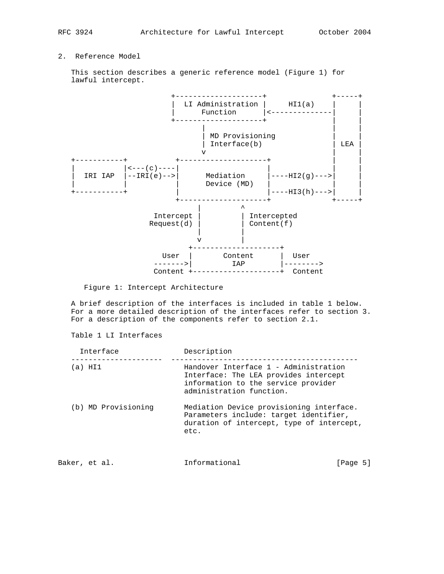## 2. Reference Model

 This section describes a generic reference model (Figure 1) for lawful intercept.



Figure 1: Intercept Architecture

 A brief description of the interfaces is included in table 1 below. For a more detailed description of the interfaces refer to section 3. For a description of the components refer to section 2.1.

Table 1 LI Interfaces

| Interface           | Description                                                                                                                                       |          |
|---------------------|---------------------------------------------------------------------------------------------------------------------------------------------------|----------|
| (a) HI1             | Handover Interface 1 - Administration<br>Interface: The LEA provides intercept<br>information to the service provider<br>administration function. |          |
| (b) MD Provisioning | Mediation Device provisioning interface.<br>Parameters include: target identifier,<br>duration of intercept, type of intercept,<br>etc.           |          |
| Baker, et al.       | Informational                                                                                                                                     | lPage 51 |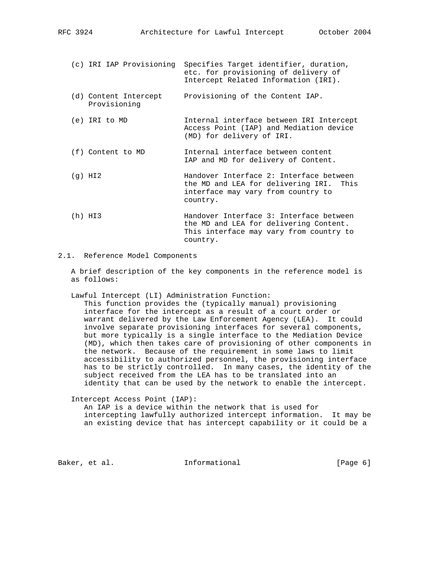|  | (c) IRI IAP Provisioning              | Specifies Target identifier, duration,<br>etc. for provisioning of delivery of<br>Intercept Related Information (IRI).                  |
|--|---------------------------------------|-----------------------------------------------------------------------------------------------------------------------------------------|
|  | (d) Content Intercept<br>Provisioning | Provisioning of the Content IAP.                                                                                                        |
|  | (e) IRI to MD                         | Internal interface between IRI Intercept<br>Access Point (IAP) and Mediation device<br>(MD) for delivery of IRI.                        |
|  | (f) Content to MD                     | Internal interface between content<br>IAP and MD for delivery of Content.                                                               |
|  | $(q)$ HI $2$                          | Handover Interface 2: Interface between<br>the MD and LEA for delivering IRI.<br>This<br>interface may vary from country to<br>country. |
|  | (h) HI3                               | Handover Interface 3: Interface between<br>the MD and LEA for delivering Content.<br>This interface may vary from country to            |

## 2.1. Reference Model Components

 A brief description of the key components in the reference model is as follows:

country.

Lawful Intercept (LI) Administration Function:

 This function provides the (typically manual) provisioning interface for the intercept as a result of a court order or warrant delivered by the Law Enforcement Agency (LEA). It could involve separate provisioning interfaces for several components, but more typically is a single interface to the Mediation Device (MD), which then takes care of provisioning of other components in the network. Because of the requirement in some laws to limit accessibility to authorized personnel, the provisioning interface has to be strictly controlled. In many cases, the identity of the subject received from the LEA has to be translated into an identity that can be used by the network to enable the intercept.

Intercept Access Point (IAP):

 An IAP is a device within the network that is used for intercepting lawfully authorized intercept information. It may be an existing device that has intercept capability or it could be a

Baker, et al.  $I_n$  Informational  $[Page 6]$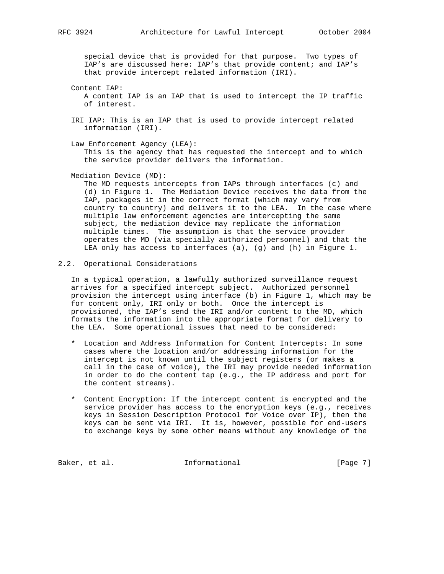special device that is provided for that purpose. Two types of IAP's are discussed here: IAP's that provide content; and IAP's that provide intercept related information (IRI).

- Content IAP: A content IAP is an IAP that is used to intercept the IP traffic of interest.
- IRI IAP: This is an IAP that is used to provide intercept related information (IRI).
- Law Enforcement Agency (LEA): This is the agency that has requested the intercept and to which the service provider delivers the information.
- Mediation Device (MD):

 The MD requests intercepts from IAPs through interfaces (c) and (d) in Figure 1. The Mediation Device receives the data from the IAP, packages it in the correct format (which may vary from country to country) and delivers it to the LEA. In the case where multiple law enforcement agencies are intercepting the same subject, the mediation device may replicate the information multiple times. The assumption is that the service provider operates the MD (via specially authorized personnel) and that the LEA only has access to interfaces (a), (g) and (h) in Figure 1.

2.2. Operational Considerations

 In a typical operation, a lawfully authorized surveillance request arrives for a specified intercept subject. Authorized personnel provision the intercept using interface (b) in Figure 1, which may be for content only, IRI only or both. Once the intercept is provisioned, the IAP's send the IRI and/or content to the MD, which formats the information into the appropriate format for delivery to the LEA. Some operational issues that need to be considered:

- \* Location and Address Information for Content Intercepts: In some cases where the location and/or addressing information for the intercept is not known until the subject registers (or makes a call in the case of voice), the IRI may provide needed information in order to do the content tap (e.g., the IP address and port for the content streams).
- \* Content Encryption: If the intercept content is encrypted and the service provider has access to the encryption keys (e.g., receives keys in Session Description Protocol for Voice over IP), then the keys can be sent via IRI. It is, however, possible for end-users to exchange keys by some other means without any knowledge of the

Baker, et al. 100 Informational 100 [Page 7]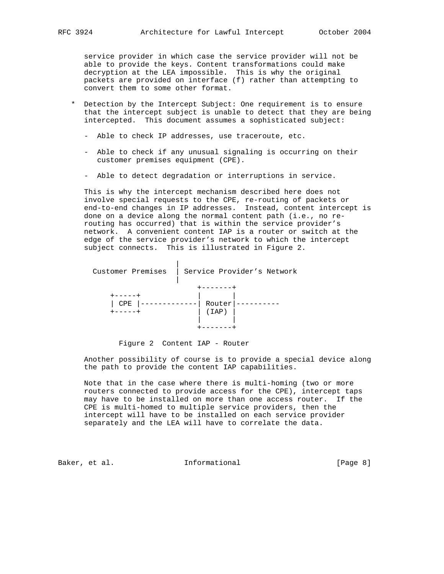service provider in which case the service provider will not be able to provide the keys. Content transformations could make decryption at the LEA impossible. This is why the original packets are provided on interface (f) rather than attempting to convert them to some other format.

- \* Detection by the Intercept Subject: One requirement is to ensure that the intercept subject is unable to detect that they are being intercepted. This document assumes a sophisticated subject:
	- Able to check IP addresses, use traceroute, etc.
	- Able to check if any unusual signaling is occurring on their customer premises equipment (CPE).
	- Able to detect degradation or interruptions in service.

 This is why the intercept mechanism described here does not involve special requests to the CPE, re-routing of packets or end-to-end changes in IP addresses. Instead, content intercept is done on a device along the normal content path (i.e., no re routing has occurred) that is within the service provider's network. A convenient content IAP is a router or switch at the edge of the service provider's network to which the intercept subject connects. This is illustrated in Figure 2.

| Customer Premises | Service Provider's Network |  |
|-------------------|----------------------------|--|
| CPE               | Router<br>( IAP )          |  |

Figure 2 Content IAP - Router

 Another possibility of course is to provide a special device along the path to provide the content IAP capabilities.

 Note that in the case where there is multi-homing (two or more routers connected to provide access for the CPE), intercept taps may have to be installed on more than one access router. If the CPE is multi-homed to multiple service providers, then the intercept will have to be installed on each service provider separately and the LEA will have to correlate the data.

Baker, et al. 1nformational 1998 [Page 8]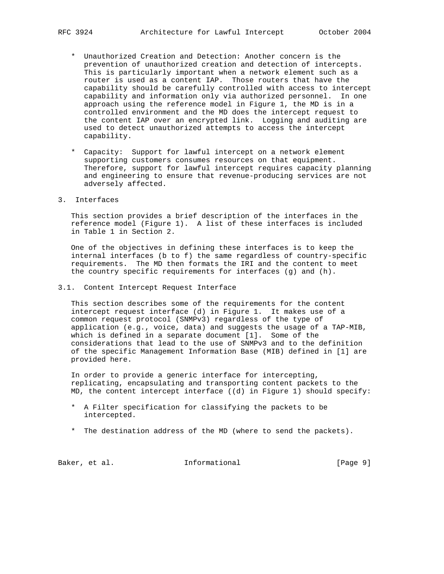- \* Unauthorized Creation and Detection: Another concern is the prevention of unauthorized creation and detection of intercepts. This is particularly important when a network element such as a router is used as a content IAP. Those routers that have the capability should be carefully controlled with access to intercept capability and information only via authorized personnel. In one approach using the reference model in Figure 1, the MD is in a controlled environment and the MD does the intercept request to the content IAP over an encrypted link. Logging and auditing are used to detect unauthorized attempts to access the intercept capability.
- \* Capacity: Support for lawful intercept on a network element supporting customers consumes resources on that equipment. Therefore, support for lawful intercept requires capacity planning and engineering to ensure that revenue-producing services are not adversely affected.
- 3. Interfaces

 This section provides a brief description of the interfaces in the reference model (Figure 1). A list of these interfaces is included in Table 1 in Section 2.

 One of the objectives in defining these interfaces is to keep the internal interfaces (b to f) the same regardless of country-specific requirements. The MD then formats the IRI and the content to meet the country specific requirements for interfaces (g) and (h).

3.1. Content Intercept Request Interface

 This section describes some of the requirements for the content intercept request interface (d) in Figure 1. It makes use of a common request protocol (SNMPv3) regardless of the type of application (e.g., voice, data) and suggests the usage of a TAP-MIB, which is defined in a separate document [1]. Some of the considerations that lead to the use of SNMPv3 and to the definition of the specific Management Information Base (MIB) defined in [1] are provided here.

 In order to provide a generic interface for intercepting, replicating, encapsulating and transporting content packets to the MD, the content intercept interface ((d) in Figure 1) should specify:

- \* A Filter specification for classifying the packets to be intercepted.
- \* The destination address of the MD (where to send the packets).

Baker, et al. 1nformational 1999 [Page 9]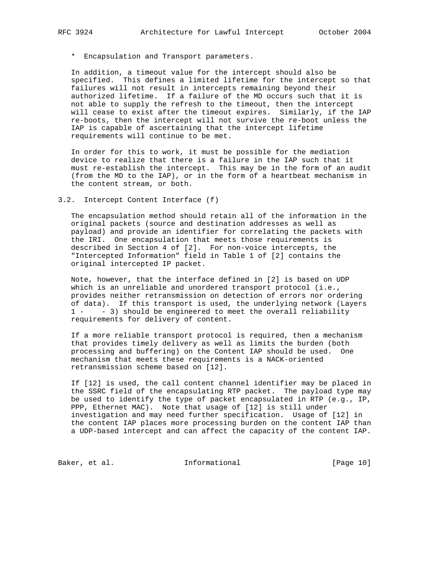\* Encapsulation and Transport parameters.

 In addition, a timeout value for the intercept should also be specified. This defines a limited lifetime for the intercept so that failures will not result in intercepts remaining beyond their authorized lifetime. If a failure of the MD occurs such that it is not able to supply the refresh to the timeout, then the intercept will cease to exist after the timeout expires. Similarly, if the IAP re-boots, then the intercept will not survive the re-boot unless the IAP is capable of ascertaining that the intercept lifetime requirements will continue to be met.

 In order for this to work, it must be possible for the mediation device to realize that there is a failure in the IAP such that it must re-establish the intercept. This may be in the form of an audit (from the MD to the IAP), or in the form of a heartbeat mechanism in the content stream, or both.

#### 3.2. Intercept Content Interface (f)

 The encapsulation method should retain all of the information in the original packets (source and destination addresses as well as payload) and provide an identifier for correlating the packets with the IRI. One encapsulation that meets those requirements is described in Section 4 of [2]. For non-voice intercepts, the "Intercepted Information" field in Table 1 of [2] contains the original intercepted IP packet.

 Note, however, that the interface defined in [2] is based on UDP which is an unreliable and unordered transport protocol (i.e., provides neither retransmission on detection of errors nor ordering of data). If this transport is used, the underlying network (Layers 1 - - 3) should be engineered to meet the overall reliability requirements for delivery of content.

 If a more reliable transport protocol is required, then a mechanism that provides timely delivery as well as limits the burden (both processing and buffering) on the Content IAP should be used. One mechanism that meets these requirements is a NACK-oriented retransmission scheme based on [12].

 If [12] is used, the call content channel identifier may be placed in the SSRC field of the encapsulating RTP packet. The payload type may be used to identify the type of packet encapsulated in RTP (e.g., IP, PPP, Ethernet MAC). Note that usage of [12] is still under investigation and may need further specification. Usage of [12] in the content IAP places more processing burden on the content IAP than a UDP-based intercept and can affect the capacity of the content IAP.

Baker, et al. 10 Informational [Page 10]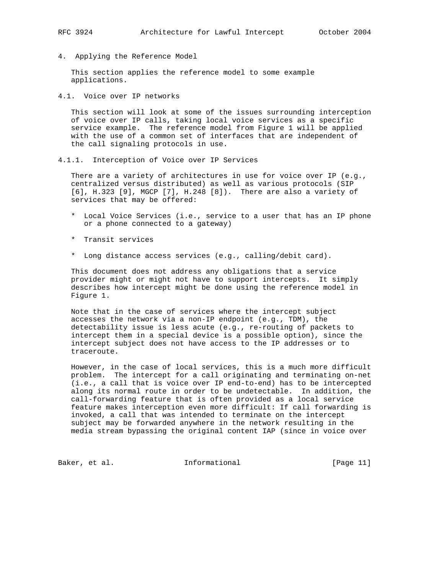4. Applying the Reference Model

 This section applies the reference model to some example applications.

4.1. Voice over IP networks

 This section will look at some of the issues surrounding interception of voice over IP calls, taking local voice services as a specific service example. The reference model from Figure 1 will be applied with the use of a common set of interfaces that are independent of the call signaling protocols in use.

4.1.1. Interception of Voice over IP Services

There are a variety of architectures in use for voice over IP (e.g., centralized versus distributed) as well as various protocols (SIP [6], H.323 [9], MGCP [7], H.248 [8]). There are also a variety of services that may be offered:

- \* Local Voice Services (i.e., service to a user that has an IP phone or a phone connected to a gateway)
- \* Transit services
- \* Long distance access services (e.g., calling/debit card).

 This document does not address any obligations that a service provider might or might not have to support intercepts. It simply describes how intercept might be done using the reference model in Figure 1.

 Note that in the case of services where the intercept subject accesses the network via a non-IP endpoint (e.g., TDM), the detectability issue is less acute (e.g., re-routing of packets to intercept them in a special device is a possible option), since the intercept subject does not have access to the IP addresses or to traceroute.

 However, in the case of local services, this is a much more difficult problem. The intercept for a call originating and terminating on-net (i.e., a call that is voice over IP end-to-end) has to be intercepted along its normal route in order to be undetectable. In addition, the call-forwarding feature that is often provided as a local service feature makes interception even more difficult: If call forwarding is invoked, a call that was intended to terminate on the intercept subject may be forwarded anywhere in the network resulting in the media stream bypassing the original content IAP (since in voice over

Baker, et al. 10 Informational 10 [Page 11]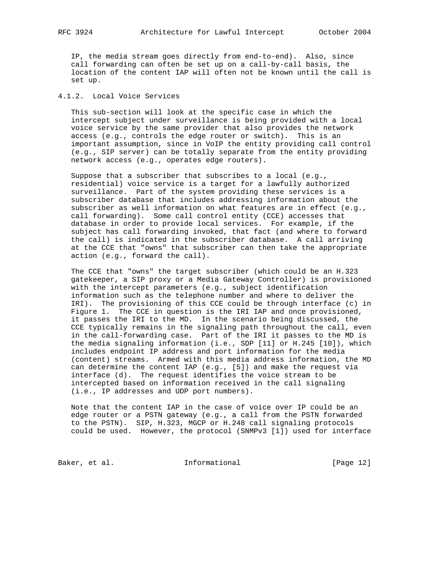IP, the media stream goes directly from end-to-end). Also, since call forwarding can often be set up on a call-by-call basis, the location of the content IAP will often not be known until the call is set up.

## 4.1.2. Local Voice Services

 This sub-section will look at the specific case in which the intercept subject under surveillance is being provided with a local voice service by the same provider that also provides the network access (e.g., controls the edge router or switch). This is an important assumption, since in VoIP the entity providing call control (e.g., SIP server) can be totally separate from the entity providing network access (e.g., operates edge routers).

 Suppose that a subscriber that subscribes to a local (e.g., residential) voice service is a target for a lawfully authorized surveillance. Part of the system providing these services is a subscriber database that includes addressing information about the subscriber as well information on what features are in effect (e.g., call forwarding). Some call control entity (CCE) accesses that database in order to provide local services. For example, if the subject has call forwarding invoked, that fact (and where to forward the call) is indicated in the subscriber database. A call arriving at the CCE that "owns" that subscriber can then take the appropriate action (e.g., forward the call).

 The CCE that "owns" the target subscriber (which could be an H.323 gatekeeper, a SIP proxy or a Media Gateway Controller) is provisioned with the intercept parameters (e.g., subject identification information such as the telephone number and where to deliver the IRI). The provisioning of this CCE could be through interface (c) in Figure 1. The CCE in question is the IRI IAP and once provisioned, it passes the IRI to the MD. In the scenario being discussed, the CCE typically remains in the signaling path throughout the call, even in the call-forwarding case. Part of the IRI it passes to the MD is the media signaling information (i.e., SDP [11] or H.245 [10]), which includes endpoint IP address and port information for the media (content) streams. Armed with this media address information, the MD can determine the content IAP (e.g., [5]) and make the request via interface (d). The request identifies the voice stream to be intercepted based on information received in the call signaling (i.e., IP addresses and UDP port numbers).

 Note that the content IAP in the case of voice over IP could be an edge router or a PSTN gateway (e.g., a call from the PSTN forwarded to the PSTN). SIP, H.323, MGCP or H.248 call signaling protocols could be used. However, the protocol (SNMPv3 [1]) used for interface

Baker, et al. 10 Informational [Page 12]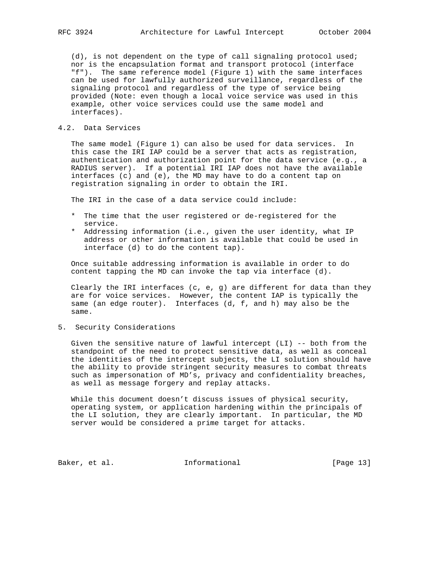(d), is not dependent on the type of call signaling protocol used; nor is the encapsulation format and transport protocol (interface "f"). The same reference model (Figure 1) with the same interfaces can be used for lawfully authorized surveillance, regardless of the signaling protocol and regardless of the type of service being provided (Note: even though a local voice service was used in this example, other voice services could use the same model and interfaces).

## 4.2. Data Services

 The same model (Figure 1) can also be used for data services. In this case the IRI IAP could be a server that acts as registration, authentication and authorization point for the data service (e.g., a RADIUS server). If a potential IRI IAP does not have the available interfaces (c) and (e), the MD may have to do a content tap on registration signaling in order to obtain the IRI.

The IRI in the case of a data service could include:

- \* The time that the user registered or de-registered for the service.
- \* Addressing information (i.e., given the user identity, what IP address or other information is available that could be used in interface (d) to do the content tap).

 Once suitable addressing information is available in order to do content tapping the MD can invoke the tap via interface (d).

Clearly the IRI interfaces  $(c, e, g)$  are different for data than they are for voice services. However, the content IAP is typically the same (an edge router). Interfaces (d, f, and h) may also be the same.

5. Security Considerations

 Given the sensitive nature of lawful intercept (LI) -- both from the standpoint of the need to protect sensitive data, as well as conceal the identities of the intercept subjects, the LI solution should have the ability to provide stringent security measures to combat threats such as impersonation of MD's, privacy and confidentiality breaches, as well as message forgery and replay attacks.

 While this document doesn't discuss issues of physical security, operating system, or application hardening within the principals of the LI solution, they are clearly important. In particular, the MD server would be considered a prime target for attacks.

Baker, et al. 1nformational [Page 13]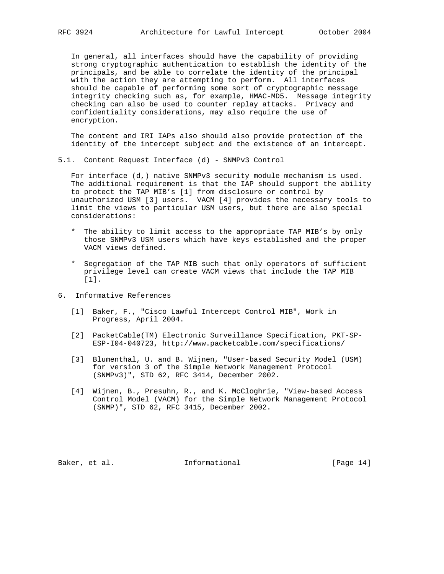In general, all interfaces should have the capability of providing strong cryptographic authentication to establish the identity of the principals, and be able to correlate the identity of the principal with the action they are attempting to perform. All interfaces should be capable of performing some sort of cryptographic message integrity checking such as, for example, HMAC-MD5. Message integrity checking can also be used to counter replay attacks. Privacy and confidentiality considerations, may also require the use of encryption.

 The content and IRI IAPs also should also provide protection of the identity of the intercept subject and the existence of an intercept.

5.1. Content Request Interface (d) - SNMPv3 Control

 For interface (d,) native SNMPv3 security module mechanism is used. The additional requirement is that the IAP should support the ability to protect the TAP MIB's [1] from disclosure or control by unauthorized USM [3] users. VACM [4] provides the necessary tools to limit the views to particular USM users, but there are also special considerations:

- \* The ability to limit access to the appropriate TAP MIB's by only those SNMPv3 USM users which have keys established and the proper VACM views defined.
- \* Segregation of the TAP MIB such that only operators of sufficient privilege level can create VACM views that include the TAP MIB [1].
- 6. Informative References
	- [1] Baker, F., "Cisco Lawful Intercept Control MIB", Work in Progress, April 2004.
	- [2] PacketCable(TM) Electronic Surveillance Specification, PKT-SP- ESP-I04-040723, http://www.packetcable.com/specifications/
	- [3] Blumenthal, U. and B. Wijnen, "User-based Security Model (USM) for version 3 of the Simple Network Management Protocol (SNMPv3)", STD 62, RFC 3414, December 2002.
	- [4] Wijnen, B., Presuhn, R., and K. McCloghrie, "View-based Access Control Model (VACM) for the Simple Network Management Protocol (SNMP)", STD 62, RFC 3415, December 2002.

Baker, et al. 10 Informational [Page 14]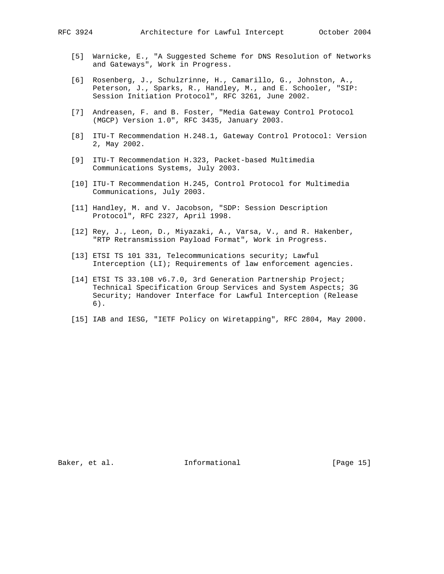- [5] Warnicke, E., "A Suggested Scheme for DNS Resolution of Networks and Gateways", Work in Progress.
- [6] Rosenberg, J., Schulzrinne, H., Camarillo, G., Johnston, A., Peterson, J., Sparks, R., Handley, M., and E. Schooler, "SIP: Session Initiation Protocol", RFC 3261, June 2002.
- [7] Andreasen, F. and B. Foster, "Media Gateway Control Protocol (MGCP) Version 1.0", RFC 3435, January 2003.
- [8] ITU-T Recommendation H.248.1, Gateway Control Protocol: Version 2, May 2002.
- [9] ITU-T Recommendation H.323, Packet-based Multimedia Communications Systems, July 2003.
- [10] ITU-T Recommendation H.245, Control Protocol for Multimedia Communications, July 2003.
- [11] Handley, M. and V. Jacobson, "SDP: Session Description Protocol", RFC 2327, April 1998.
- [12] Rey, J., Leon, D., Miyazaki, A., Varsa, V., and R. Hakenber, "RTP Retransmission Payload Format", Work in Progress.
- [13] ETSI TS 101 331, Telecommunications security; Lawful Interception (LI); Requirements of law enforcement agencies.
- [14] ETSI TS 33.108 v6.7.0, 3rd Generation Partnership Project; Technical Specification Group Services and System Aspects; 3G Security; Handover Interface for Lawful Interception (Release 6).
- [15] IAB and IESG, "IETF Policy on Wiretapping", RFC 2804, May 2000.

Baker, et al. 10 Informational 1999 [Page 15]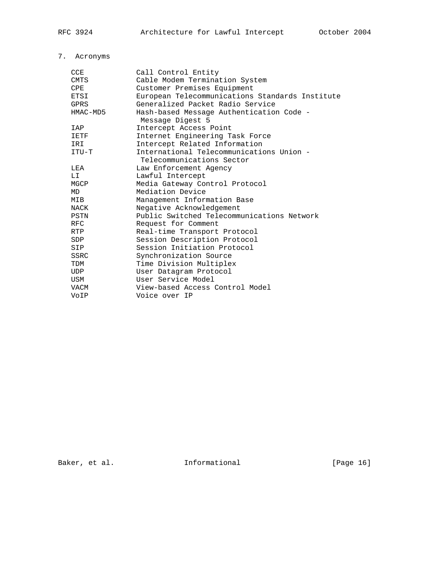# 7. Acronyms

| <b>CCE</b>  | Call Control Entity                             |
|-------------|-------------------------------------------------|
| <b>CMTS</b> | Cable Modem Termination System                  |
| CPE         | Customer Premises Equipment                     |
| ETSI        | European Telecommunications Standards Institute |
| <b>GPRS</b> | Generalized Packet Radio Service                |
| HMAC-MD5    | Hash-based Message Authentication Code -        |
|             | Message Digest 5                                |
| IAP         | Intercept Access Point                          |
| IETF        | Internet Engineering Task Force                 |
| IRI         | Intercept Related Information                   |
| ITU-T       | International Telecommunications Union -        |
|             | Telecommunications Sector                       |
| LEA         | Law Enforcement Agency                          |
| LI          | Lawful Intercept                                |
| MGCP        | Media Gateway Control Protocol                  |
| MD          | Mediation Device                                |
| MIB         | Management Information Base                     |
| NACK        | Negative Acknowledgement                        |
| PSTN        | Public Switched Telecommunications Network      |
| <b>RFC</b>  | Request for Comment                             |
| <b>RTP</b>  | Real-time Transport Protocol                    |
| <b>SDP</b>  | Session Description Protocol                    |
| SIP         | Session Initiation Protocol                     |
| <b>SSRC</b> | Synchronization Source                          |
| TDM         | Time Division Multiplex                         |
| <b>UDP</b>  | User Datagram Protocol                          |
| USM         | User Service Model                              |
| VACM        | View-based Access Control Model                 |
| VoIP        | Voice over IP                                   |
|             |                                                 |

Baker, et al. 1nformational [Page 16]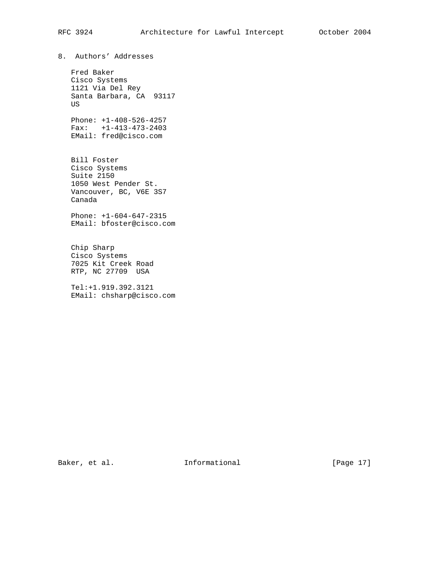8. Authors' Addresses

 Fred Baker Cisco Systems 1121 Via Del Rey Santa Barbara, CA 93117 US

 Phone: +1-408-526-4257 Fax: +1-413-473-2403 EMail: fred@cisco.com

 Bill Foster Cisco Systems Suite 2150 1050 West Pender St. Vancouver, BC, V6E 3S7 Canada

 Phone: +1-604-647-2315 EMail: bfoster@cisco.com

 Chip Sharp Cisco Systems 7025 Kit Creek Road RTP, NC 27709 USA

 Tel:+1.919.392.3121 EMail: chsharp@cisco.com

Baker, et al. 10 mm informational 1999 [Page 17]